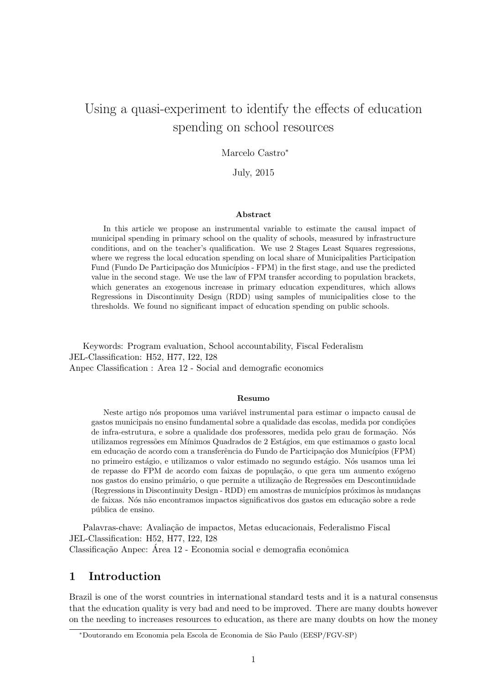# Using a quasi-experiment to identify the effects of education spending on school resources

### Marcelo Castro<sup>∗</sup>

July, 2015

### Abstract

In this article we propose an instrumental variable to estimate the causal impact of municipal spending in primary school on the quality of schools, measured by infrastructure conditions, and on the teacher's qualification. We use 2 Stages Least Squares regressions, where we regress the local education spending on local share of Municipalities Participation Fund (Fundo De Participação dos Municípios - FPM) in the first stage, and use the predicted value in the second stage. We use the law of FPM transfer according to population brackets, which generates an exogenous increase in primary education expenditures, which allows Regressions in Discontinuity Design (RDD) using samples of municipalities close to the thresholds. We found no significant impact of education spending on public schools.

Keywords: Program evaluation, School accountability, Fiscal Federalism JEL-Classification: H52, H77, I22, I28 Anpec Classification : Area 12 - Social and demografic economics

#### Resumo

Neste artigo nós propomos uma variável instrumental para estimar o impacto causal de gastos municipais no ensino fundamental sobre a qualidade das escolas, medida por condições de infra-estrutura, e sobre a qualidade dos professores, medida pelo grau de formação. Nós utilizamos regressões em Mínimos Quadrados de 2 Estágios, em que estimamos o gasto local em educação de acordo com a transferência do Fundo de Participação dos Municípios (FPM) no primeiro estágio, e utilizamos o valor estimado no segundo estágio. Nós usamos uma lei de repasse do FPM de acordo com faixas de população, o que gera um aumento exógeno nos gastos do ensino primário, o que permite a utilização de Regressões em Descontinuidade  $(Reersions in Discontinuity Design - RDD)$  em amostras de municípios próximos às mudanças de faixas. Nós não encontramos impactos significativos dos gastos em educação sobre a rede pública de ensino.

Palavras-chave: Avaliação de impactos, Metas educacionais, Federalismo Fiscal JEL-Classification: H52, H77, I22, I28 Classificação Anpec: Área 12 - Economia social e demografia econômica

# 1 Introduction

Brazil is one of the worst countries in international standard tests and it is a natural consensus that the education quality is very bad and need to be improved. There are many doubts however on the needing to increases resources to education, as there are many doubts on how the money

<sup>∗</sup>Doutorando em Economia pela Escola de Economia de S˜ao Paulo (EESP/FGV-SP)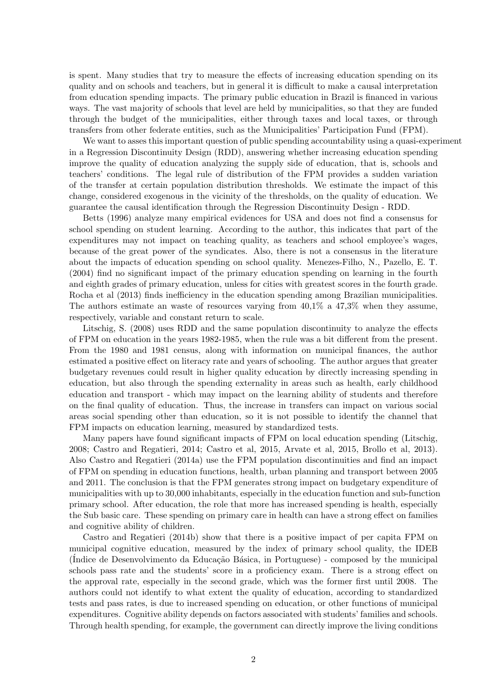is spent. Many studies that try to measure the effects of increasing education spending on its quality and on schools and teachers, but in general it is difficult to make a causal interpretation from education spending impacts. The primary public education in Brazil is financed in various ways. The vast majority of schools that level are held by municipalities, so that they are funded through the budget of the municipalities, either through taxes and local taxes, or through transfers from other federate entities, such as the Municipalities' Participation Fund (FPM).

We want to asses this important question of public spending accountability using a quasi-experiment in a Regression Discontinuity Design (RDD), answering whether increasing education spending improve the quality of education analyzing the supply side of education, that is, schools and teachers' conditions. The legal rule of distribution of the FPM provides a sudden variation of the transfer at certain population distribution thresholds. We estimate the impact of this change, considered exogenous in the vicinity of the thresholds, on the quality of education. We guarantee the causal identification through the Regression Discontinuity Design - RDD.

Betts (1996) analyze many empirical evidences for USA and does not find a consensus for school spending on student learning. According to the author, this indicates that part of the expenditures may not impact on teaching quality, as teachers and school employee's wages, because of the great power of the syndicates. Also, there is not a consensus in the literature about the impacts of education spending on school quality. Menezes-Filho, N., Pazello, E. T. (2004) find no significant impact of the primary education spending on learning in the fourth and eighth grades of primary education, unless for cities with greatest scores in the fourth grade. Rocha et al (2013) finds inefficiency in the education spending among Brazilian municipalities. The authors estimate an waste of resources varying from  $40,1\%$  a  $47,3\%$  when they assume, respectively, variable and constant return to scale.

Litschig, S. (2008) uses RDD and the same population discontinuity to analyze the effects of FPM on education in the years 1982-1985, when the rule was a bit different from the present. From the 1980 and 1981 census, along with information on municipal finances, the author estimated a positive effect on literacy rate and years of schooling. The author argues that greater budgetary revenues could result in higher quality education by directly increasing spending in education, but also through the spending externality in areas such as health, early childhood education and transport - which may impact on the learning ability of students and therefore on the final quality of education. Thus, the increase in transfers can impact on various social areas social spending other than education, so it is not possible to identify the channel that FPM impacts on education learning, measured by standardized tests.

Many papers have found significant impacts of FPM on local education spending (Litschig, 2008; Castro and Regatieri, 2014; Castro et al, 2015, Arvate et al, 2015, Brollo et al, 2013). Also Castro and Regatieri (2014a) use the FPM population discontinuities and find an impact of FPM on spending in education functions, health, urban planning and transport between 2005 and 2011. The conclusion is that the FPM generates strong impact on budgetary expenditure of municipalities with up to 30,000 inhabitants, especially in the education function and sub-function primary school. After education, the role that more has increased spending is health, especially the Sub basic care. These spending on primary care in health can have a strong effect on families and cognitive ability of children.

Castro and Regatieri (2014b) show that there is a positive impact of per capita FPM on municipal cognitive education, measured by the index of primary school quality, the IDEB (Índice de Desenvolvimento da Educação Básica, in Portuguese) - composed by the municipal schools pass rate and the students' score in a proficiency exam. There is a strong effect on the approval rate, especially in the second grade, which was the former first until 2008. The authors could not identify to what extent the quality of education, according to standardized tests and pass rates, is due to increased spending on education, or other functions of municipal expenditures. Cognitive ability depends on factors associated with students' families and schools. Through health spending, for example, the government can directly improve the living conditions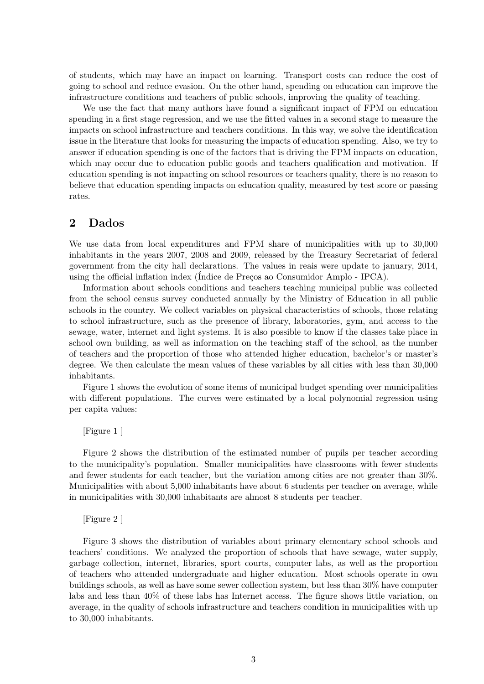of students, which may have an impact on learning. Transport costs can reduce the cost of going to school and reduce evasion. On the other hand, spending on education can improve the infrastructure conditions and teachers of public schools, improving the quality of teaching.

We use the fact that many authors have found a significant impact of FPM on education spending in a first stage regression, and we use the fitted values in a second stage to measure the impacts on school infrastructure and teachers conditions. In this way, we solve the identification issue in the literature that looks for measuring the impacts of education spending. Also, we try to answer if education spending is one of the factors that is driving the FPM impacts on education, which may occur due to education public goods and teachers qualification and motivation. If education spending is not impacting on school resources or teachers quality, there is no reason to believe that education spending impacts on education quality, measured by test score or passing rates.

# 2 Dados

We use data from local expenditures and FPM share of municipalities with up to 30,000 inhabitants in the years 2007, 2008 and 2009, released by the Treasury Secretariat of federal government from the city hall declarations. The values in reais were update to january, 2014, using the official inflation index (Indice de Preços ao Consumidor Amplo -  $IPCA$ ).

Information about schools conditions and teachers teaching municipal public was collected from the school census survey conducted annually by the Ministry of Education in all public schools in the country. We collect variables on physical characteristics of schools, those relating to school infrastructure, such as the presence of library, laboratories, gym, and access to the sewage, water, internet and light systems. It is also possible to know if the classes take place in school own building, as well as information on the teaching staff of the school, as the number of teachers and the proportion of those who attended higher education, bachelor's or master's degree. We then calculate the mean values of these variables by all cities with less than 30,000 inhabitants.

Figure 1 shows the evolution of some items of municipal budget spending over municipalities with different populations. The curves were estimated by a local polynomial regression using per capita values:

### [Figure 1 ]

Figure 2 shows the distribution of the estimated number of pupils per teacher according to the municipality's population. Smaller municipalities have classrooms with fewer students and fewer students for each teacher, but the variation among cities are not greater than 30%. Municipalities with about 5,000 inhabitants have about 6 students per teacher on average, while in municipalities with 30,000 inhabitants are almost 8 students per teacher.

### [Figure 2 ]

Figure 3 shows the distribution of variables about primary elementary school schools and teachers' conditions. We analyzed the proportion of schools that have sewage, water supply, garbage collection, internet, libraries, sport courts, computer labs, as well as the proportion of teachers who attended undergraduate and higher education. Most schools operate in own buildings schools, as well as have some sewer collection system, but less than 30% have computer labs and less than 40% of these labs has Internet access. The figure shows little variation, on average, in the quality of schools infrastructure and teachers condition in municipalities with up to 30,000 inhabitants.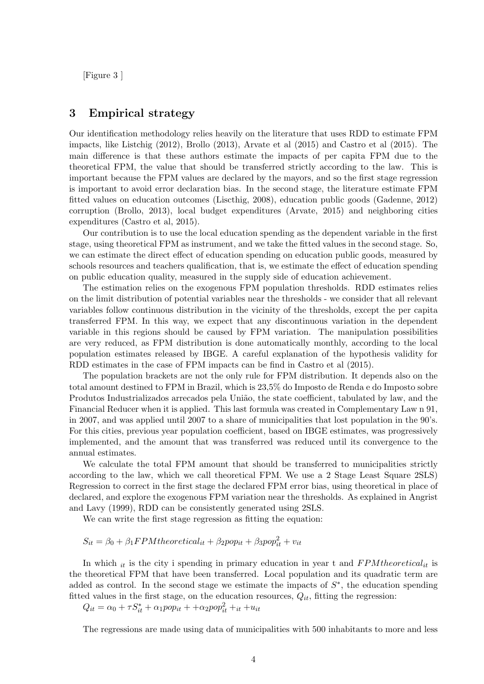[Figure 3 ]

# 3 Empirical strategy

Our identification methodology relies heavily on the literature that uses RDD to estimate FPM impacts, like Listchig (2012), Brollo (2013), Arvate et al (2015) and Castro et al (2015). The main difference is that these authors estimate the impacts of per capita FPM due to the theoretical FPM, the value that should be transferred strictly according to the law. This is important because the FPM values are declared by the mayors, and so the first stage regression is important to avoid error declaration bias. In the second stage, the literature estimate FPM fitted values on education outcomes (Liscthig, 2008), education public goods (Gadenne, 2012) corruption (Brollo, 2013), local budget expenditures (Arvate, 2015) and neighboring cities expenditures (Castro et al, 2015).

Our contribution is to use the local education spending as the dependent variable in the first stage, using theoretical FPM as instrument, and we take the fitted values in the second stage. So, we can estimate the direct effect of education spending on education public goods, measured by schools resources and teachers qualification, that is, we estimate the effect of education spending on public education quality, measured in the supply side of education achievement.

The estimation relies on the exogenous FPM population thresholds. RDD estimates relies on the limit distribution of potential variables near the thresholds - we consider that all relevant variables follow continuous distribution in the vicinity of the thresholds, except the per capita transferred FPM. In this way, we expect that any discontinuous variation in the dependent variable in this regions should be caused by FPM variation. The manipulation possibilities are very reduced, as FPM distribution is done automatically monthly, according to the local population estimates released by IBGE. A careful explanation of the hypothesis validity for RDD estimates in the case of FPM impacts can be find in Castro et al (2015).

The population brackets are not the only rule for FPM distribution. It depends also on the total amount destined to FPM in Brazil, which is 23,5% do Imposto de Renda e do Imposto sobre Produtos Industrializados arrecados pela União, the state coefficient, tabulated by law, and the Financial Reducer when it is applied. This last formula was created in Complementary Law n 91, in 2007, and was applied until 2007 to a share of municipalities that lost population in the 90's. For this cities, previous year population coefficient, based on IBGE estimates, was progressively implemented, and the amount that was transferred was reduced until its convergence to the annual estimates.

We calculate the total FPM amount that should be transferred to municipalities strictly according to the law, which we call theoretical FPM. We use a 2 Stage Least Square 2SLS) Regression to correct in the first stage the declared FPM error bias, using theoretical in place of declared, and explore the exogenous FPM variation near the thresholds. As explained in Angrist and Lavy (1999), RDD can be consistently generated using 2SLS.

We can write the first stage regression as fitting the equation:

# $S_{it} = \beta_0 + \beta_1 FPM theoretical_{it} + \beta_2 pop_{it} + \beta_3 pop_{it}^2 + v_{it}$

In which  $i_t$  is the city i spending in primary education in year t and  $FPM theoretical_{it}$  is the theoretical FPM that have been transferred. Local population and its quadratic term are added as control. In the second stage we estimate the impacts of  $S^*$ , the education spending fitted values in the first stage, on the education resources,  $Q_{it}$ , fitting the regression:

 $Q_{it} = \alpha_0 + \tau S_{it}^* + \alpha_1 p o p_{it} + \alpha_2 p o p_{it}^2 +_{it} + u_{it}$ 

The regressions are made using data of municipalities with 500 inhabitants to more and less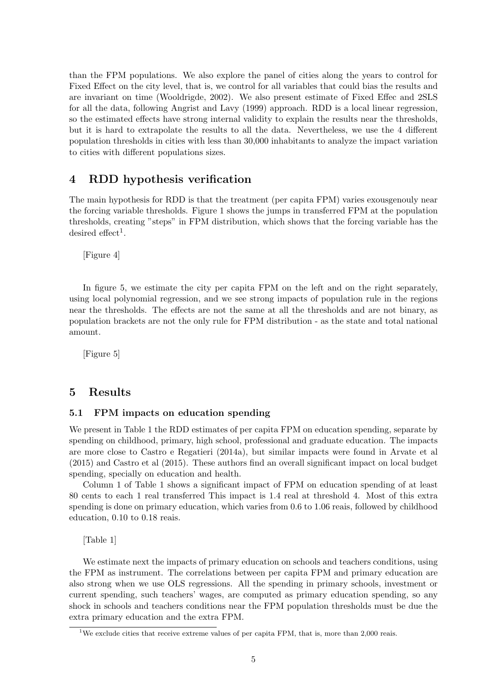than the FPM populations. We also explore the panel of cities along the years to control for Fixed Effect on the city level, that is, we control for all variables that could bias the results and are invariant on time (Wooldrigde, 2002). We also present estimate of Fixed Effec and 2SLS for all the data, following Angrist and Lavy (1999) approach. RDD is a local linear regression, so the estimated effects have strong internal validity to explain the results near the thresholds, but it is hard to extrapolate the results to all the data. Nevertheless, we use the 4 different population thresholds in cities with less than 30,000 inhabitants to analyze the impact variation to cities with different populations sizes.

# 4 RDD hypothesis verification

The main hypothesis for RDD is that the treatment (per capita FPM) varies exousgenouly near the forcing variable thresholds. Figure 1 shows the jumps in transferred FPM at the population thresholds, creating "steps" in FPM distribution, which shows that the forcing variable has the desired effect<sup>1</sup>.

[Figure 4]

In figure 5, we estimate the city per capita FPM on the left and on the right separately, using local polynomial regression, and we see strong impacts of population rule in the regions near the thresholds. The effects are not the same at all the thresholds and are not binary, as population brackets are not the only rule for FPM distribution - as the state and total national amount.

[Figure 5]

## 5 Results

### 5.1 FPM impacts on education spending

We present in Table 1 the RDD estimates of per capita FPM on education spending, separate by spending on childhood, primary, high school, professional and graduate education. The impacts are more close to Castro e Regatieri (2014a), but similar impacts were found in Arvate et al (2015) and Castro et al (2015). These authors find an overall significant impact on local budget spending, specially on education and health.

Column 1 of Table 1 shows a significant impact of FPM on education spending of at least 80 cents to each 1 real transferred This impact is 1.4 real at threshold 4. Most of this extra spending is done on primary education, which varies from 0.6 to 1.06 reais, followed by childhood education, 0.10 to 0.18 reais.

[Table 1]

We estimate next the impacts of primary education on schools and teachers conditions, using the FPM as instrument. The correlations between per capita FPM and primary education are also strong when we use OLS regressions. All the spending in primary schools, investment or current spending, such teachers' wages, are computed as primary education spending, so any shock in schools and teachers conditions near the FPM population thresholds must be due the extra primary education and the extra FPM.

<sup>&</sup>lt;sup>1</sup>We exclude cities that receive extreme values of per capita FPM, that is, more than 2,000 reais.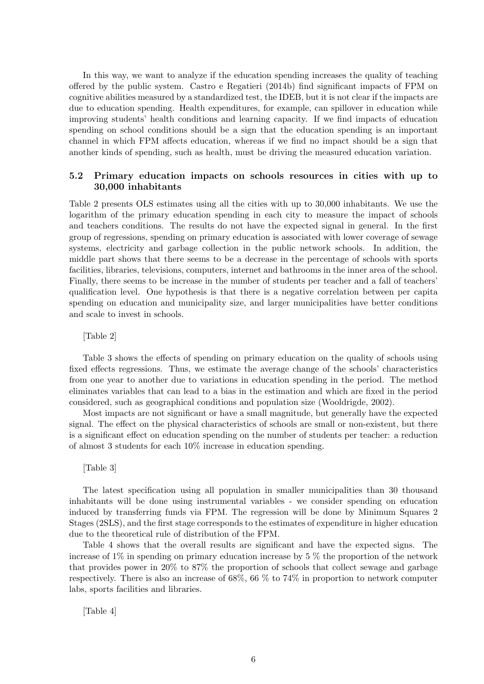In this way, we want to analyze if the education spending increases the quality of teaching offered by the public system. Castro e Regatieri (2014b) find significant impacts of FPM on cognitive abilities measured by a standardized test, the IDEB, but it is not clear if the impacts are due to education spending. Health expenditures, for example, can spillover in education while improving students' health conditions and learning capacity. If we find impacts of education spending on school conditions should be a sign that the education spending is an important channel in which FPM affects education, whereas if we find no impact should be a sign that another kinds of spending, such as health, must be driving the measured education variation.

# 5.2 Primary education impacts on schools resources in cities with up to 30,000 inhabitants

Table 2 presents OLS estimates using all the cities with up to 30,000 inhabitants. We use the logarithm of the primary education spending in each city to measure the impact of schools and teachers conditions. The results do not have the expected signal in general. In the first group of regressions, spending on primary education is associated with lower coverage of sewage systems, electricity and garbage collection in the public network schools. In addition, the middle part shows that there seems to be a decrease in the percentage of schools with sports facilities, libraries, televisions, computers, internet and bathrooms in the inner area of the school. Finally, there seems to be increase in the number of students per teacher and a fall of teachers' qualification level. One hypothesis is that there is a negative correlation between per capita spending on education and municipality size, and larger municipalities have better conditions and scale to invest in schools.

[Table 2]

Table 3 shows the effects of spending on primary education on the quality of schools using fixed effects regressions. Thus, we estimate the average change of the schools' characteristics from one year to another due to variations in education spending in the period. The method eliminates variables that can lead to a bias in the estimation and which are fixed in the period considered, such as geographical conditions and population size (Wooldrigde, 2002).

Most impacts are not significant or have a small magnitude, but generally have the expected signal. The effect on the physical characteristics of schools are small or non-existent, but there is a significant effect on education spending on the number of students per teacher: a reduction of almost 3 students for each 10% increase in education spending.

[Table 3]

The latest specification using all population in smaller municipalities than 30 thousand inhabitants will be done using instrumental variables - we consider spending on education induced by transferring funds via FPM. The regression will be done by Minimum Squares 2 Stages (2SLS), and the first stage corresponds to the estimates of expenditure in higher education due to the theoretical rule of distribution of the FPM.

Table 4 shows that the overall results are significant and have the expected signs. The increase of  $1\%$  in spending on primary education increase by 5 % the proportion of the network that provides power in 20% to 87% the proportion of schools that collect sewage and garbage respectively. There is also an increase of 68%, 66 % to 74% in proportion to network computer labs, sports facilities and libraries.

[Table 4]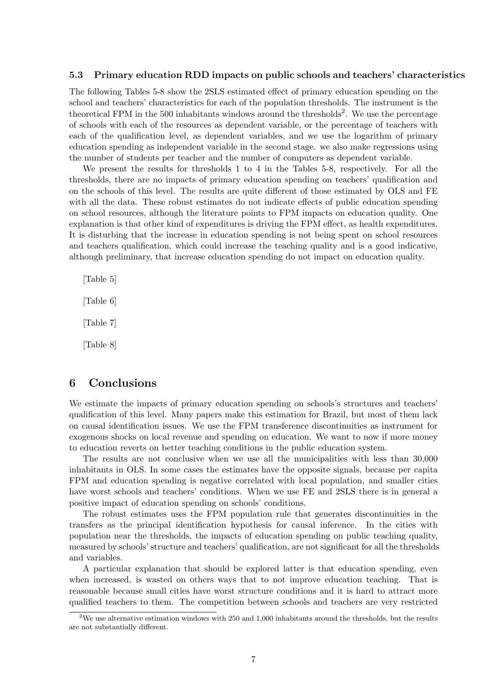### 5.3 Primary education RDD impacts on public schools and teachers' characteristics

The following Tables 5-8 show the 2SLS estimated effect of primary education spending on the school and teachers' characteristics for each of the population thresholds. The instrument is the theoretical FPM in the 500 inhabitants windows around the thresholds<sup>2</sup>. We use the percentage of schools with each of the resources as dependent variable, or the percentage of teachers with each of the qualification level, as dependent variables, and we use the logarithm of primary education spending as independent variable in the second stage. we also make regressions using the number of students per teacher and the number of computers as dependent variable.

We present the results for thresholds 1 to 4 in the Tables 5-8, respectively. For all the thresholds, there are no impacts of primary education spending on teachers' qualification and on the schools of this level. The results are quite different of those estimated by OLS and FE with all the data. These robust estimates do not indicate effects of public education spending on school resources, although the literature points to FPM impacts on education quality. One explanation is that other kind of expenditures is driving the FPM effect, as health expenditures. It is disturbing that the increase in education spending is not being spent on school resources and teachers qualification, which could increase the teaching quality and is a good indicative, although preliminary, that increase education spending do not impact on education quality.

[Table 5] [Table 6] [Table 7] [Table 8]

# 6 Conclusions

We estimate the impacts of primary education spending on schools's structures and teachers' qualification of this level. Many papers make this estimation for Brazil, but most of them lack on causal identification issues. We use the FPM transference discontinuities as instrument for exogenous shocks on local revenue and spending on education. We want to now if more money to education reverts on better teaching conditions in the public education system.

The results are not conclusive when we use all the municipalities with less than 30,000 inhabitants in OLS. In some cases the estimates have the opposite signals, because per capita FPM and education spending is negative correlated with local population, and smaller cities have worst schools and teachers' conditions. When we use FE and 2SLS there is in general a positive impact of education spending on schools' conditions.

The robust estimates uses the FPM population rule that generates discontinuities in the transfers as the principal identification hypothesis for causal inference. In the cities with population near the thresholds, the impacts of education spending on public teaching quality, measured by schools' structure and teachers' qualification, are not significant for all the thresholds and variables.

A particular explanation that should be explored latter is that education spending, even when increased, is wasted on others ways that to not improve education teaching. That is reasonable because small cities have worst structure conditions and it is hard to attract more qualified teachers to them. The competition between schools and teachers are very restricted

<sup>&</sup>lt;sup>2</sup>We use alternative estimation windows with 250 and 1,000 inhabitants around the thresholds, but the results are not substantially different.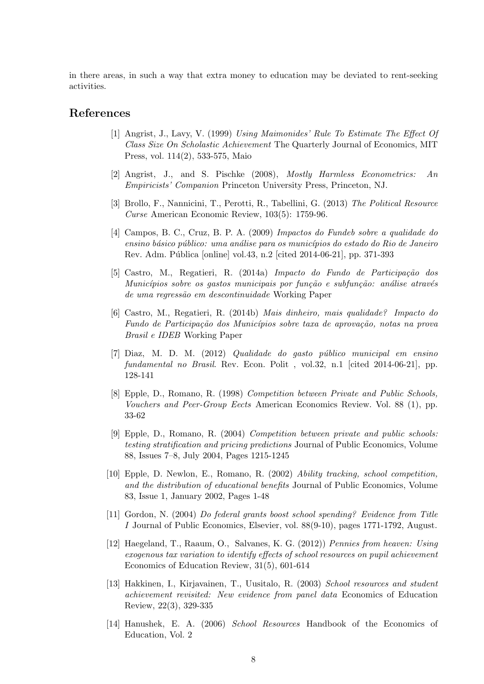in there areas, in such a way that extra money to education may be deviated to rent-seeking activities.

# References

- [1] Angrist, J., Lavy, V. (1999) Using Maimonides' Rule To Estimate The Effect Of Class Size On Scholastic Achievement The Quarterly Journal of Economics, MIT Press, vol. 114(2), 533-575, Maio
- [2] Angrist, J., and S. Pischke (2008), Mostly Harmless Econometrics: An Empiricists' Companion Princeton University Press, Princeton, NJ.
- [3] Brollo, F., Nannicini, T., Perotti, R., Tabellini, G. (2013) The Political Resource Curse American Economic Review, 103(5): 1759-96.
- [4] Campos, B. C., Cruz, B. P. A. (2009) Impactos do Fundeb sobre a qualidade do ensino básico público: uma análise para os municípios do estado do Rio de Janeiro Rev. Adm. Pública [online] vol.43, n.2 [cited 2014-06-21], pp. 371-393
- [5] Castro, M., Regatieri, R. (2014a) Impacto do Fundo de Participação dos Municípios sobre os gastos municipais por função e subfunção: análise através de uma regress˜ao em descontinuidade Working Paper
- [6] Castro, M., Regatieri, R. (2014b) Mais dinheiro, mais qualidade? Impacto do Fundo de Participação dos Municípios sobre taxa de aprovação, notas na prova Brasil e IDEB Working Paper
- [7] Diaz, M. D. M. (2012) Qualidade do gasto p´ublico municipal em ensino fundamental no Brasil. Rev. Econ. Polit , vol.32, n.1 [cited 2014-06-21], pp. 128-141
- [8] Epple, D., Romano, R. (1998) Competition between Private and Public Schools, Vouchers and Peer-Group Eects American Economics Review. Vol. 88 (1), pp. 33-62
- [9] Epple, D., Romano, R. (2004) Competition between private and public schools: testing stratification and pricing predictions Journal of Public Economics, Volume 88, Issues 7–8, July 2004, Pages 1215-1245
- [10] Epple, D. Newlon, E., Romano, R. (2002) Ability tracking, school competition, and the distribution of educational benefits Journal of Public Economics, Volume 83, Issue 1, January 2002, Pages 1-48
- [11] Gordon, N. (2004) Do federal grants boost school spending? Evidence from Title I Journal of Public Economics, Elsevier, vol. 88(9-10), pages 1771-1792, August.
- [12] Haegeland, T., Raaum, O., Salvanes, K. G. (2012)) Pennies from heaven: Using exogenous tax variation to identify effects of school resources on pupil achievement Economics of Education Review, 31(5), 601-614
- [13] Hakkinen, I., Kirjavainen, T., Uusitalo, R. (2003) School resources and student achievement revisited: New evidence from panel data Economics of Education Review, 22(3), 329-335
- [14] Hanushek, E. A. (2006) School Resources Handbook of the Economics of Education, Vol. 2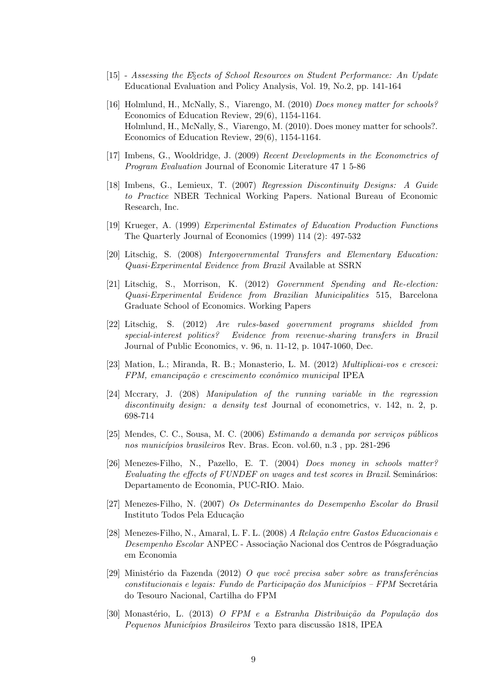- [15] Assessing the E§ects of School Resources on Student Performance: An Update Educational Evaluation and Policy Analysis, Vol. 19, No.2, pp. 141-164
- [16] Holmlund, H., McNally, S., Viarengo, M. (2010) Does money matter for schools? Economics of Education Review, 29(6), 1154-1164. Holmlund, H., McNally, S., Viarengo, M. (2010). Does money matter for schools?. Economics of Education Review, 29(6), 1154-1164.
- [17] Imbens, G., Wooldridge, J. (2009) Recent Developments in the Econometrics of Program Evaluation Journal of Economic Literature 47 1 5-86
- [18] Imbens, G., Lemieux, T. (2007) Regression Discontinuity Designs: A Guide to Practice NBER Technical Working Papers. National Bureau of Economic Research, Inc.
- [19] Krueger, A. (1999) Experimental Estimates of Education Production Functions The Quarterly Journal of Economics (1999) 114 (2): 497-532
- [20] Litschig, S. (2008) Intergovernmental Transfers and Elementary Education: Quasi-Experimental Evidence from Brazil Available at SSRN
- [21] Litschig, S., Morrison, K. (2012) Government Spending and Re-election: Quasi-Experimental Evidence from Brazilian Municipalities 515, Barcelona Graduate School of Economics. Working Papers
- [22] Litschig, S. (2012) Are rules-based government programs shielded from special-interest politics? Evidence from revenue-sharing transfers in Brazil Journal of Public Economics, v. 96, n. 11-12, p. 1047-1060, Dec.
- [23] Mation, L.; Miranda, R. B.; Monasterio, L. M. (2012) Multiplicai-vos e crescei: FPM, emancipação e crescimento econômico municipal IPEA
- [24] Mccrary, J. (208) Manipulation of the running variable in the regression discontinuity design: a density test Journal of econometrics, v. 142, n. 2, p. 698-714
- $[25]$  Mendes, C. C., Sousa, M. C.  $(2006)$  *Estimando a demanda por serviços públicos* nos municípios brasileiros Rev. Bras. Econ. vol.60, n.3, pp. 281-296
- [26] Menezes-Filho, N., Pazello, E. T. (2004) Does money in schools matter? Evaluating the effects of  $FUNDEF$  on wages and test scores in Brazil. Seminatios: Departamento de Economia, PUC-RIO. Maio.
- [27] Menezes-Filho, N. (2007) Os Determinantes do Desempenho Escolar do Brasil Instituto Todos Pela Educação
- [28] Menezes-Filho, N., Amaral, L. F. L. (2008) A Relação entre Gastos Educacionais e Desempenho Escolar ANPEC - Associação Nacional dos Centros de Pósgraduação em Economia
- [29] Ministério da Fazenda (2012) O que você precisa saber sobre as transferências  $constitucionais e legais: Fundo de Participação dos Municípios - FPM Secretária$ do Tesouro Nacional, Cartilha do FPM
- [30] Monastério, L. (2013) O FPM e a Estranha Distribuição da População dos Pequenos Municípios Brasileiros Texto para discussão 1818, IPEA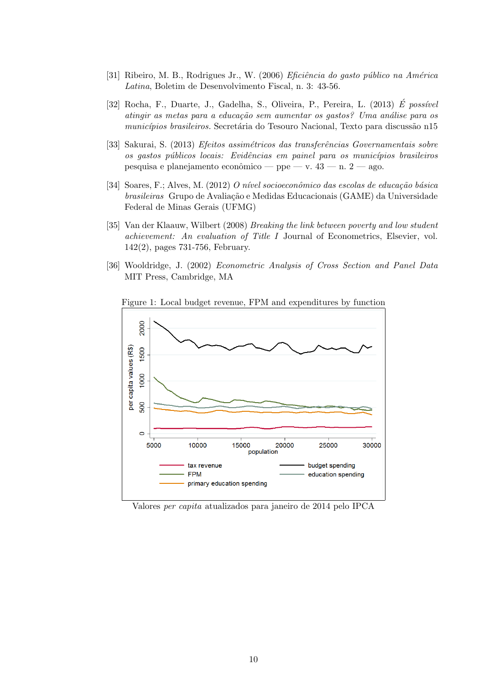- [31] Ribeiro, M. B., Rodrigues Jr., W. (2006) *Eficiência do gasto público na América* Latina, Boletim de Desenvolvimento Fiscal, n. 3: 43-56.
- [32] Rocha, F., Duarte, J., Gadelha, S., Oliveira, P., Pereira, L. (2013) É possível atingir as metas para a educação sem aumentar os gastos? Uma análise para os municípios brasileiros. Secretária do Tesouro Nacional, Texto para discussão n15
- [33] Sakurai, S. (2013) Efeitos assimétricos das transferências Governamentais sobre os gastos públicos locais: Evidências em painel para os municípios brasileiros pesquisa e planejamento econômico — ppe — v.  $43$  — n.  $2$  — ago.
- [34] Soares, F.; Alves, M. (2012) O nível socioeconômico das escolas de educação básica brasileiras Grupo de Avaliação e Medidas Educacionais (GAME) da Universidade Federal de Minas Gerais (UFMG)
- [35] Van der Klaauw, Wilbert (2008) Breaking the link between poverty and low student achievement: An evaluation of Title I Journal of Econometrics, Elsevier, vol. 142(2), pages 731-756, February.
- [36] Wooldridge, J. (2002) Econometric Analysis of Cross Section and Panel Data MIT Press, Cambridge, MA



Figure 1: Local budget revenue, FPM and expenditures by function

Valores per capita atualizados para janeiro de 2014 pelo IPCA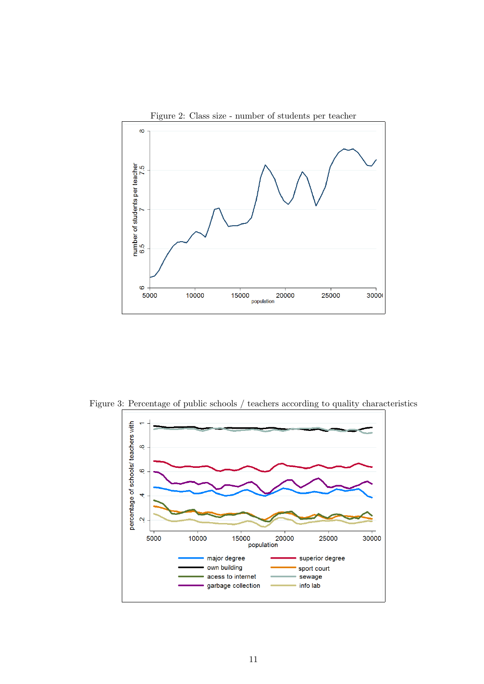

Figure 2: Class size - number of students per teacher

Figure 3: Percentage of public schools / teachers according to quality characteristics

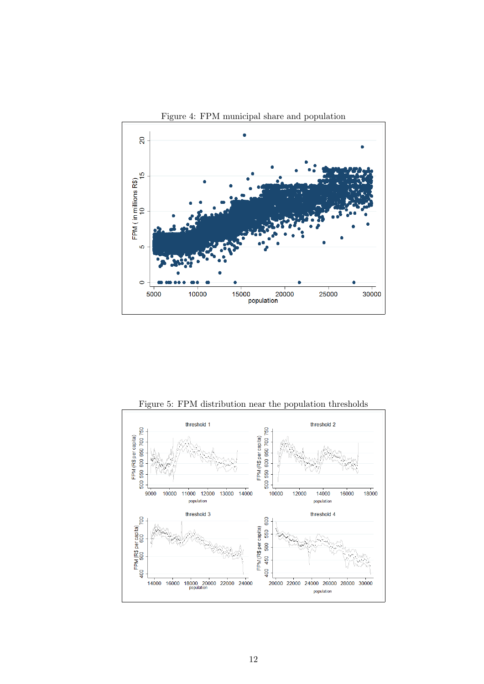

Figure 4: FPM municipal share and population

Figure 5: FPM distribution near the population thresholds

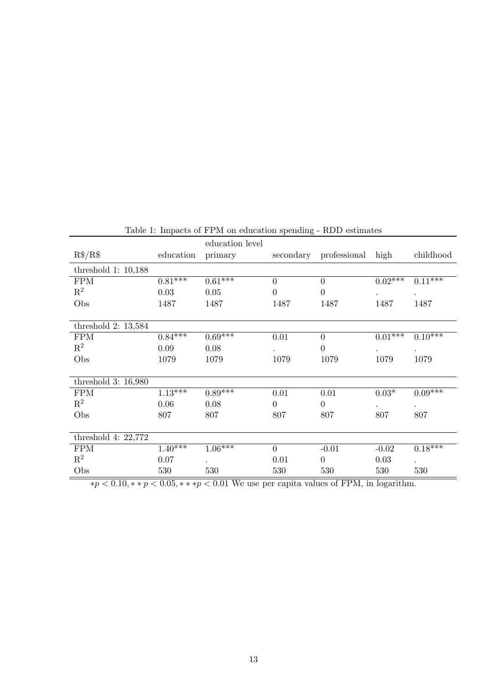|                       |           | education level         |                |                |           |                         |
|-----------------------|-----------|-------------------------|----------------|----------------|-----------|-------------------------|
| $R\$/R\$              | education | primary                 | secondary      | professional   | high      | childhood               |
| threshold 1: $10,188$ |           |                         |                |                |           |                         |
| <b>FPM</b>            | $0.81***$ | $0.61***$               | $\overline{0}$ | $\theta$       | $0.02***$ | $0.11^{***}$            |
| $\mathbf{R}^2$        | 0.03      | 0.05                    | 0              | $\overline{0}$ | $\bullet$ | $\ddot{\phantom{0}}$    |
| Obs                   | 1487      | 1487                    | 1487           | 1487           | 1487      | 1487                    |
|                       |           |                         |                |                |           |                         |
| threshold $2: 13,584$ |           |                         |                |                |           |                         |
| <b>FPM</b>            | $0.84***$ | $0.69***$               | 0.01           | $\theta$       | $0.01***$ | $0.10^{***}$            |
| $\mathbf{R}^2$        | 0.09      | 0.08                    |                | $\Omega$       | $\bullet$ | $\cdot$                 |
| Obs                   | 1079      | 1079                    | 1079           | 1079           | 1079      | 1079                    |
|                       |           |                         |                |                |           |                         |
| threshold $3: 16,980$ |           |                         |                |                |           |                         |
| <b>FPM</b>            | $1.13***$ | $0.89^{\overline{***}}$ | 0.01           | 0.01           | $0.03*$   | $0.09^{\overline{***}}$ |
| $\mathbf{R}^2$        | 0.06      | 0.08                    | $\overline{0}$ | $\theta$       |           | $\ddot{\phantom{0}}$    |
| Obs                   | 807       | 807                     | 807            | 807            | 807       | 807                     |
|                       |           |                         |                |                |           |                         |
| threshold 4: $22,772$ |           |                         |                |                |           |                         |
| <b>FPM</b>            | $1.40***$ | $1.06***$               | $\overline{0}$ | $-0.01$        | $-0.02$   | $0.18***$               |
| $\mathbf{R}^2$        | 0.07      |                         | 0.01           | $\Omega$       | 0.03      | $\cdot$                 |
| Obs                   | 530       | 530                     | 530            | 530            | 530       | 530                     |

Table 1: Impacts of FPM on education spending - RDD estimates

 $*p < 0.10, **p < 0.05, **p < 0.01$  We use per capita values of FPM, in logarithm.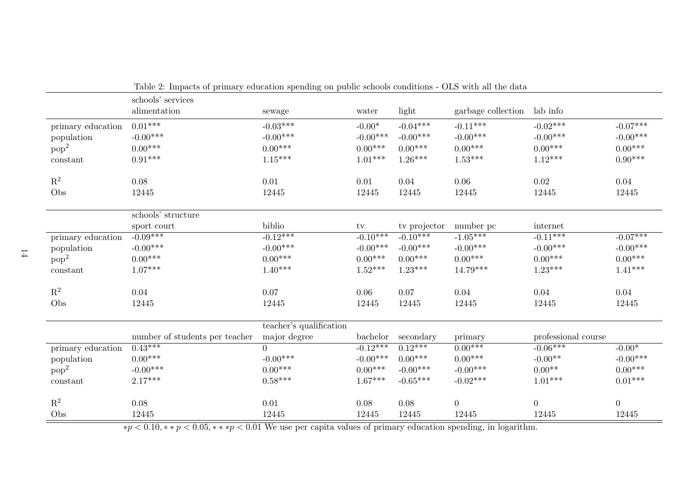|                   | schools' services              |                         |            |              |                             |                     |                  |
|-------------------|--------------------------------|-------------------------|------------|--------------|-----------------------------|---------------------|------------------|
|                   | alimentation                   | sewage                  | water      | light        | garbage collection lab info |                     |                  |
| primary education | $0.01***$                      | $-0.03***$              | $-0.00*$   | $-0.04***$   | $-0.11***$                  | $-0.02***$          | $-0.07***$       |
| population        | $-0.00***$                     | $-0.00***$              | $-0.00***$ | $-0.00***$   | $-0.00***$                  | $-0.00***$          | $-0.00***$       |
| pop <sup>2</sup>  | $0.00***$                      | $0.00***$               | $0.00***$  | $0.00***$    | $0.00***$                   | $0.00***$           | $0.00***$        |
| constant          | $0.91***$                      | $1.15***$               | $1.01***$  | $1.26***$    | $1.53***$                   | $1.12***$           | $0.90***$        |
| $\mathbf{R}^2$    | 0.08                           | 0.01                    | 0.01       | 0.04         | 0.06                        | 0.02                | 0.04             |
| Obs               | 12445                          | 12445                   | 12445      | 12445        | 12445                       | 12445               | 12445            |
|                   | schools' structure             |                         |            |              |                             |                     |                  |
|                   | sport court                    | biblio                  | tv         | tv projector | number pc                   | internet            |                  |
| primary education | $-0.09***$                     | $-0.12***$              | $-0.10***$ | $-0.10***$   | $-1.05***$                  | $-0.11***$          | $-0.07***$       |
| population        | $-0.00***$                     | $-0.00***$              | $-0.00***$ | $-0.00***$   | $-0.00***$                  | $-0.00***$          | $-0.00***$       |
| pop <sup>2</sup>  | $0.00***$                      | $0.00***$               | $0.00***$  | $0.00***$    | $0.00***$                   | $0.00***$           | $0.00***$        |
| constant          | $1.07***$                      | $1.40***$               | $1.52***$  | $1.23***$    | $14.79***$                  | $1.23***$           | $1.41***$        |
| $\mathbf{R}^2$    | 0.04                           | 0.07                    | 0.06       | 0.07         | 0.04                        | 0.04                | 0.04             |
| Obs               | 12445                          | 12445                   | 12445      | 12445        | 12445                       | 12445               | 12445            |
|                   |                                | teacher's qualification |            |              |                             |                     |                  |
|                   | number of students per teacher | major degree            | bachelor   | secondary    | primary                     | professional course |                  |
| primary education | $0.43***$                      | $\overline{0}$          | $-0.12***$ | $0.12***$    | $0.00***$                   | $-0.06***$          | $-0.00*$         |
| population        | $0.00***$                      | $-0.00***$              | $-0.00***$ | $0.00***$    | $0.00***$                   | $-0.00**$           | $-0.00***$       |
| pop <sup>2</sup>  | $-0.00***$                     | $0.00***$               | $0.00***$  | $-0.00***$   | $-0.00***$                  | $0.00**$            | $0.00***$        |
| constant          | $2.17***$                      | $0.58***$               | $1.67***$  | $-0.65***$   | $-0.02***$                  | $1.01***$           | $0.01***$        |
| $\mathbf{R}^2$    | 0.08                           | 0.01                    | $0.08\,$   | $0.08\,$     | $\overline{0}$              | $\boldsymbol{0}$    | $\boldsymbol{0}$ |
| Obs               | 12445                          | 12445                   | 12445      | 12445        | 12445                       | 12445               | 12445            |

Table 2: Impacts of primary education spending on public schools conditions - OLS with all the data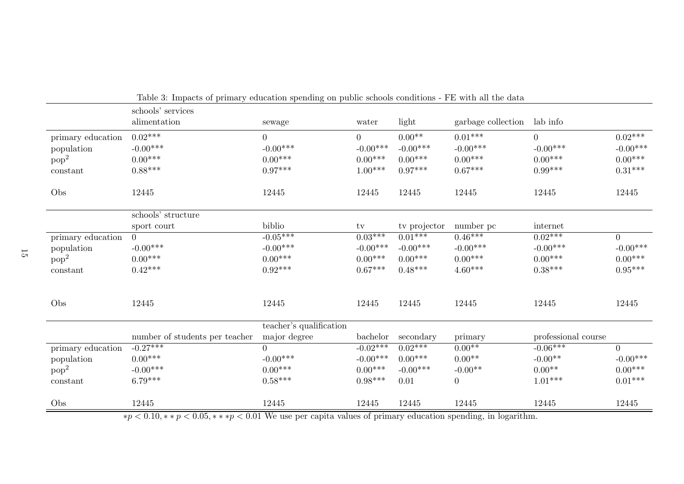|                                                                 | Table 9. Impacts of primary education spending on public schools conditions - I L with an the data |                                                        |                                                        |                                                  |                                                   |                                                        |                                                   |
|-----------------------------------------------------------------|----------------------------------------------------------------------------------------------------|--------------------------------------------------------|--------------------------------------------------------|--------------------------------------------------|---------------------------------------------------|--------------------------------------------------------|---------------------------------------------------|
|                                                                 | schools' services<br>alimentation                                                                  | sewage                                                 | water                                                  | light                                            | garbage collection                                | lab info                                               |                                                   |
| primary education<br>population<br>pop <sup>2</sup><br>constant | $0.02***$<br>$-0.00***$<br>$0.00***$<br>$0.88***$                                                  | $\overline{0}$<br>$-0.00***$<br>$0.00***$<br>$0.97***$ | $\overline{0}$<br>$-0.00***$<br>$0.00***$<br>$1.00***$ | $0.00**$<br>$-0.00***$<br>$0.00***$<br>$0.97***$ | $0.01***$<br>$-0.00***$<br>$0.00***$<br>$0.67***$ | $\overline{0}$<br>$-0.00***$<br>$0.00***$<br>$0.99***$ | $0.02***$<br>$-0.00***$<br>$0.00***$<br>$0.31***$ |
| Obs                                                             | 12445                                                                                              | 12445                                                  | 12445                                                  | 12445                                            | 12445                                             | 12445                                                  | 12445                                             |
|                                                                 | schools' structure                                                                                 |                                                        |                                                        |                                                  |                                                   |                                                        |                                                   |
|                                                                 | sport court                                                                                        | biblio                                                 | tv                                                     | tv projector                                     | number pc                                         | internet                                               |                                                   |
| primary education                                               | $\theta$                                                                                           | $-0.05***$                                             | $0.03***$                                              | $0.01***$                                        | $0.46***$                                         | $0.02***$                                              | $\boldsymbol{0}$                                  |
| population                                                      | $-0.00***$                                                                                         | $-0.00***$                                             | $-0.00***$                                             | $-0.00***$                                       | $-0.00***$                                        | $-0.00***$                                             | $-0.00***$                                        |
| pop <sup>2</sup>                                                | $0.00***$                                                                                          | $0.00***$                                              | $0.00***$                                              | $0.00***$                                        | $0.00***$                                         | $0.00***$                                              | $0.00***$                                         |
| constant                                                        | $0.42***$                                                                                          | $0.92***$                                              | $0.67***$                                              | $0.48***$                                        | $4.60***$                                         | $0.38***$                                              | $0.95***$                                         |
| Obs                                                             | 12445                                                                                              | 12445                                                  | 12445                                                  | 12445                                            | 12445                                             | 12445                                                  | 12445                                             |
|                                                                 |                                                                                                    | teacher's qualification                                |                                                        |                                                  |                                                   |                                                        |                                                   |
|                                                                 | number of students per teacher                                                                     | major degree                                           | bachelor                                               | secondary                                        | primary                                           | professional course                                    |                                                   |
| primary education                                               | $-0.27***$                                                                                         | $\overline{0}$                                         | $-0.02***$                                             | $0.02***$                                        | $0.00**$                                          | $-0.06***$                                             | $\overline{0}$                                    |
| population                                                      | $0.00***$                                                                                          | $-0.00***$                                             | $-0.00***$                                             | $0.00***$                                        | $0.00**$                                          | $-0.00**$                                              | $-0.00***$                                        |
| pop <sup>2</sup>                                                | $-0.00***$                                                                                         | $0.00***$                                              | $0.00***$                                              | $-0.00***$                                       | $-0.00**$                                         | $0.00**$                                               | $0.00***$                                         |
| constant                                                        | $6.79***$                                                                                          | $0.58***$                                              | $0.98***$                                              | $0.01\,$                                         | $\boldsymbol{0}$                                  | $1.01***$                                              | $0.01***$                                         |
|                                                                 |                                                                                                    |                                                        |                                                        |                                                  |                                                   |                                                        |                                                   |
| Obs                                                             | 12445                                                                                              | 12445                                                  | 12445                                                  | 12445                                            | 12445                                             | 12445                                                  | 12445                                             |

Table 3: Impacts of primary education spending on public schools conditions - FE with all the data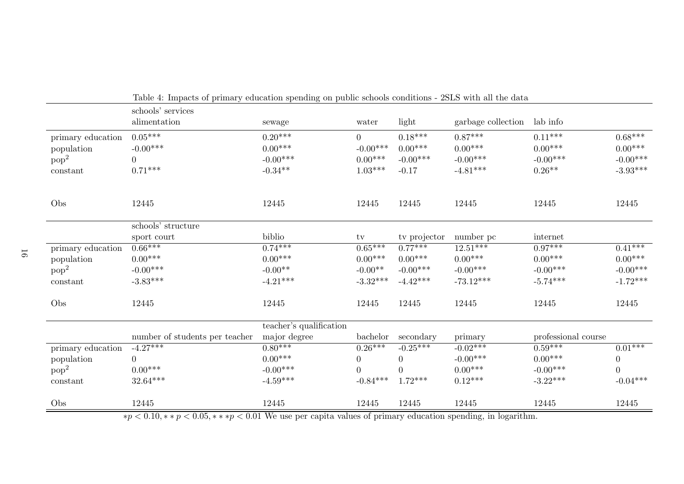|                   | rapio il impacco oi primary caucación openante on public señecio continuono<br>schools' services |                         |                        |              |                    |                     |                  |
|-------------------|--------------------------------------------------------------------------------------------------|-------------------------|------------------------|--------------|--------------------|---------------------|------------------|
|                   | alimentation                                                                                     | sewage                  | water                  | light        | garbage collection | lab info            |                  |
| primary education | $0.05***$                                                                                        | $0.20***$               | $\overline{0}$         | $0.18***$    | $0.87***$          | $0.11***$           | $0.68***$        |
| population        | $-0.00***$                                                                                       | $0.00***$               | $-0.00***$             | $0.00***$    | $0.00***$          | $0.00***$           | $0.00***$        |
| pop <sup>2</sup>  | $\overline{0}$                                                                                   | $-0.00***$              | $0.00***$              | $-0.00***$   | $-0.00***$         | $-0.00***$          | $-0.00***$       |
| constant          | $0.71***$                                                                                        | $-0.34**$               | $1.03***$              | $-0.17$      | $-4.81***$         | $0.26**$            | $-3.93***$       |
| Obs               | 12445                                                                                            | 12445                   | 12445                  | 12445        | 12445              | 12445               | 12445            |
|                   | schools' structure                                                                               |                         |                        |              |                    |                     |                  |
|                   | sport court                                                                                      | biblio                  | $\mathop{\mathrm{tv}}$ | tv projector | number pc          | internet            |                  |
| primary education | $0.66***$                                                                                        | $0.74***$               | $0.65***$              | $0.77***$    | $12.51***$         | $0.97***$           | $0.41***$        |
| population        | $0.00***$                                                                                        | $0.00***$               | $0.00***$              | $0.00***$    | $0.00***$          | $0.00***$           | $0.00***$        |
| pop <sup>2</sup>  | $-0.00***$                                                                                       | $-0.00**$               | $-0.00**$              | $-0.00***$   | $-0.00***$         | $-0.00***$          | $-0.00***$       |
| constant          | $-3.83***$                                                                                       | $-4.21***$              | $-3.32***$             | $-4.42***$   | $-73.12***$        | $-5.74***$          | $-1.72***$       |
| Obs               | 12445                                                                                            | 12445                   | 12445                  | 12445        | 12445              | 12445               | 12445            |
|                   |                                                                                                  | teacher's qualification |                        |              |                    |                     |                  |
|                   | number of students per teacher                                                                   | major degree            | bachelor               | secondary    | primary            | professional course |                  |
| primary education | $-4.27***$                                                                                       | $0.80***$               | $0.26***$              | $-0.25***$   | $-0.02***$         | $0.59***$           | $0.01***$        |
| population        | $\overline{0}$                                                                                   | $0.00***$               | $\boldsymbol{0}$       | $\Omega$     | $-0.00***$         | $0.00***$           | $\boldsymbol{0}$ |
| pop <sup>2</sup>  | $0.00***$                                                                                        | $-0.00***$              | $\overline{0}$         | 0            | $0.00***$          | $-0.00***$          | $\overline{0}$   |
| constant          | $32.64***$                                                                                       | $-4.59***$              | $-0.84***$             | $1.72***$    | $0.12***$          | $-3.22***$          | $-0.04***$       |
| Obs               | 12445                                                                                            | 12445                   | 12445                  | 12445        | 12445              | 12445               | 12445            |

Table 4: Impacts of primary education spending on public schools conditions - 2SLS with all the data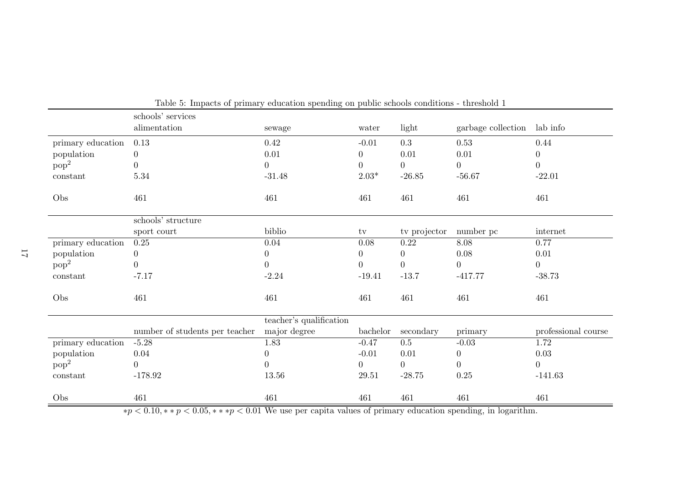|                   | schools' services              |                         |                  |                |                    |                     |
|-------------------|--------------------------------|-------------------------|------------------|----------------|--------------------|---------------------|
|                   | alimentation                   | sewage                  | water            | light          | garbage collection | lab info            |
| primary education | 0.13                           | 0.42                    | $-0.01$          | 0.3            | 0.53               | 0.44                |
| population        | $\theta$                       | $0.01\,$                | 0                | 0.01           | $0.01\,$           | $\overline{0}$      |
| pop <sup>2</sup>  | $\boldsymbol{0}$               | $\overline{0}$          | $\boldsymbol{0}$ | $\overline{0}$ | $\overline{0}$     | $\overline{0}$      |
| constant          | 5.34                           | $-31.48$                | $2.03*$          | $-26.85$       | $-56.67$           | $-22.01$            |
| Obs               | 461                            | 461                     | 461              | 461            | 461                | 461                 |
|                   | schools' structure             |                         |                  |                |                    |                     |
|                   | sport court                    | biblio                  | tv               | tv projector   | number pc          | internet            |
| primary education | $0.25\,$                       | 0.04                    | 0.08             | 0.22           | 8.08               | 0.77                |
| population        | $\boldsymbol{0}$               | $\overline{0}$          | $\overline{0}$   | $\overline{0}$ | 0.08               | 0.01                |
| pop <sup>2</sup>  | $\overline{0}$                 | 0                       | $\overline{0}$   | $\overline{0}$ | $\overline{0}$     | $\overline{0}$      |
| constant          | $-7.17$                        | $-2.24$                 | $-19.41$         | $-13.7$        | $-417.77$          | $-38.73$            |
| Obs               | 461                            | 461                     | 461              | 461            | 461                | 461                 |
|                   |                                | teacher's qualification |                  |                |                    |                     |
|                   | number of students per teacher | major degree            | bachelor         | secondary      | primary            | professional course |
| primary education | $-5.28$                        | 1.83                    | $-0.47$          | 0.5            | $-0.03$            | 1.72                |
| population        | 0.04                           | $\boldsymbol{0}$        | $-0.01$          | 0.01           | $\overline{0}$     | 0.03                |
| pop <sup>2</sup>  | $\overline{0}$                 | $\Omega$                | $\overline{0}$   | $\overline{0}$ | $\overline{0}$     | $\overline{0}$      |
| constant          | $-178.92$                      | 13.56                   | 29.51            | $-28.75$       | 0.25               | $-141.63$           |
|                   |                                |                         |                  |                |                    |                     |
| Obs               | 461                            | 461                     | 461              | 461            | 461                | 461                 |

Table 5: Impacts of primary education spending on public schools conditions - threshold 1

 $*p < 0.10, **p < 0.05, ***p < 0.01$  We use per capita values of primary education spending, in logarithm.

17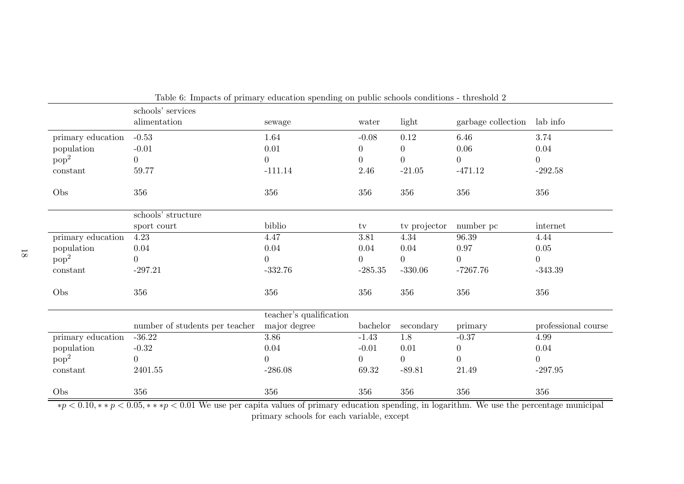|                   | Table 0. Impacts of primary equivation spending on public schools conditions - threshold 2<br>schools' services |                         |                     |                |                    |                     |
|-------------------|-----------------------------------------------------------------------------------------------------------------|-------------------------|---------------------|----------------|--------------------|---------------------|
|                   | alimentation                                                                                                    | sewage                  | water               | light          | garbage collection | lab info            |
| primary education | $-0.53$                                                                                                         | 1.64                    | $-0.08$             | 0.12           | 6.46               | 3.74                |
| population        | $-0.01$                                                                                                         | 0.01                    | $\overline{0}$      | $\overline{0}$ | 0.06               | 0.04                |
| pop <sup>2</sup>  | $\overline{0}$                                                                                                  | 0                       | $\overline{0}$      | $\theta$       | $\overline{0}$     | $\overline{0}$      |
| constant          | 59.77                                                                                                           | $-111.14$               | 2.46                | $-21.05$       | $-471.12$          | $-292.58$           |
| Obs               | 356                                                                                                             | 356                     | 356                 | 356            | 356                | 356                 |
|                   | schools' structure                                                                                              |                         |                     |                |                    |                     |
|                   | sport court                                                                                                     | biblio                  | $\operatorname{tv}$ | tv projector   | number pc          | internet            |
| primary education | 4.23                                                                                                            | 4.47                    | 3.81                | 4.34           | 96.39              | 4.44                |
| population        | 0.04                                                                                                            | 0.04                    | 0.04                | 0.04           | $0.97\,$           | $0.05\,$            |
| pop <sup>2</sup>  | $\boldsymbol{0}$                                                                                                | $\theta$                | $\overline{0}$      | $\overline{0}$ | $\overline{0}$     | $\overline{0}$      |
| constant          | $-297.21$                                                                                                       | $-332.76$               | $-285.35$           | $-330.06$      | $-7267.76$         | $-343.39$           |
| Obs               | 356                                                                                                             | 356                     | 356                 | 356            | 356                | 356                 |
|                   |                                                                                                                 | teacher's qualification |                     |                |                    |                     |
|                   | number of students per teacher                                                                                  | major degree            | bachelor            | secondary      | primary            | professional course |
| primary education | $-36.22$                                                                                                        | 3.86                    | $-1.43$             | 1.8            | $-0.37$            | 4.99                |
| population        | $-0.32$                                                                                                         | 0.04                    | $-0.01$             | 0.01           | $\overline{0}$     | 0.04                |
| pop <sup>2</sup>  | $\theta$                                                                                                        | 0                       | $\overline{0}$      | $\theta$       | $\boldsymbol{0}$   | $\overline{0}$      |
| constant          | 2401.55                                                                                                         | $-286.08$               | 69.32               | $-89.81$       | 21.49              | $-297.95$           |
| Obs               | 356                                                                                                             | 356                     | 356                 | 356            | 356                | 356                 |

Table 6: Impacts of primary education spending on public schools conditions - threshold 2

 $*p < 0.10, **p < 0.05, ***p < 0.01$  We use per capita values of primary education spending, in logarithm. We use the percentage municipal primary schools for each variable, except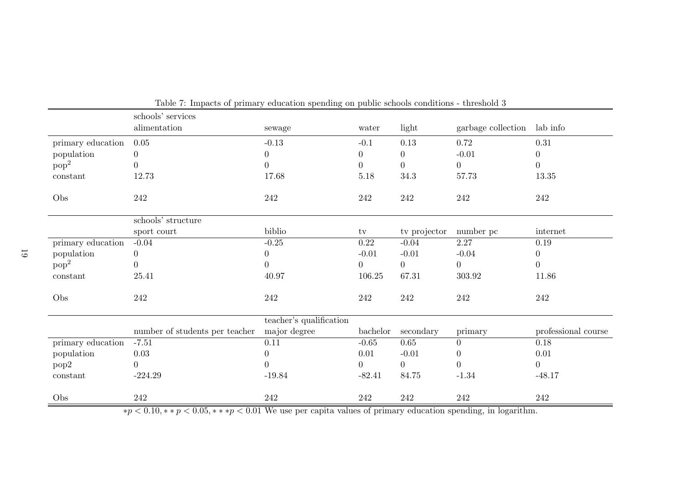|                   | schools' services              |                         |                |                  |                    |                     |
|-------------------|--------------------------------|-------------------------|----------------|------------------|--------------------|---------------------|
|                   | alimentation                   | sewage                  | water          | light            | garbage collection | lab info            |
| primary education | 0.05                           | $-0.13$                 | $-0.1$         | 0.13             | 0.72               | 0.31                |
| population        | $\boldsymbol{0}$               | 0                       | $\overline{0}$ | $\boldsymbol{0}$ | $-0.01$            | $\overline{0}$      |
| pop <sup>2</sup>  | $\overline{0}$                 | $\overline{0}$          | $\overline{0}$ | $\overline{0}$   | $\overline{0}$     | $\overline{0}$      |
| $\mbox{constant}$ | 12.73                          | 17.68                   | 5.18           | 34.3             | 57.73              | 13.35               |
| Obs               | $242\,$                        | 242                     | $242\,$        | $242\,$          | 242                | 242                 |
|                   | schools' structure             |                         |                |                  |                    |                     |
|                   | sport court                    | biblio                  | tv             | tv projector     | number pc          | internet            |
| primary education | $-0.04$                        | $-0.25$                 | 0.22           | $-0.04$          | 2.27               | $0.19\,$            |
| population        | $\overline{0}$                 | $\boldsymbol{0}$        | $-0.01$        | $-0.01$          | $-0.04$            | $\overline{0}$      |
| pop <sup>2</sup>  | $\overline{0}$                 | 0                       | $\overline{0}$ | $\overline{0}$   | $\overline{0}$     | $\overline{0}$      |
| constant          | $25.41\,$                      | 40.97                   | 106.25         | 67.31            | $303.92\,$         | 11.86               |
| Obs               | 242                            | 242                     | $242\,$        | 242              | 242                | 242                 |
|                   |                                | teacher's qualification |                |                  |                    |                     |
|                   | number of students per teacher | major degree            | bachelor       | secondary        | primary            | professional course |
| primary education | $-7.51$                        | $0.11\,$                | $-0.65$        | 0.65             | $\overline{0}$     | 0.18                |
| population        | 0.03                           | $\overline{0}$          | 0.01           | $-0.01$          | $\boldsymbol{0}$   | 0.01                |
| pop2              | $\overline{0}$                 | 0                       | $\overline{0}$ | $\overline{0}$   | $\boldsymbol{0}$   | $\overline{0}$      |
| constant          | $-224.29$                      | $-19.84$                | $-82.41$       | 84.75            | $-1.34$            | $-48.17$            |
| Obs               | 242                            | 242                     | $242\,$        | 242              | 242                | 242                 |

Table 7: Impacts of primary education spending on public schools conditions - threshold 3